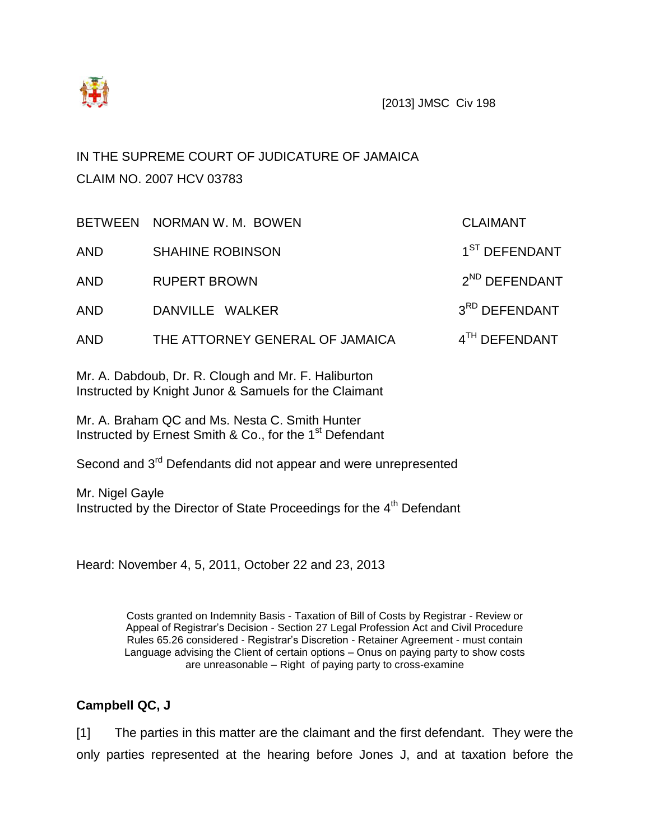

# IN THE SUPREME COURT OF JUDICATURE OF JAMAICA CLAIM NO. 2007 HCV 03783

|            | BETWEEN NORMAN W. M. BOWEN      | <b>CLAIMANT</b>           |
|------------|---------------------------------|---------------------------|
| <b>AND</b> | <b>SHAHINE ROBINSON</b>         | 1 <sup>ST</sup> DEFENDANT |
| <b>AND</b> | <b>RUPERT BROWN</b>             | 2 <sup>ND</sup> DEFENDANT |
| <b>AND</b> | DANVILLE WALKER                 | 3RD DEFENDANT             |
| <b>AND</b> | THE ATTORNEY GENERAL OF JAMAICA | 4TH DEFENDANT             |

Mr. A. Dabdoub, Dr. R. Clough and Mr. F. Haliburton Instructed by Knight Junor & Samuels for the Claimant

Mr. A. Braham QC and Ms. Nesta C. Smith Hunter Instructed by Ernest Smith & Co., for the 1<sup>st</sup> Defendant

Second and 3<sup>rd</sup> Defendants did not appear and were unrepresented

Mr. Nigel Gayle Instructed by the Director of State Proceedings for the 4th Defendant

Heard: November 4, 5, 2011, October 22 and 23, 2013

Costs granted on Indemnity Basis - Taxation of Bill of Costs by Registrar - Review or Appeal of Registrar's Decision - Section 27 Legal Profession Act and Civil Procedure Rules 65.26 considered - Registrar's Discretion - Retainer Agreement - must contain Language advising the Client of certain options – Onus on paying party to show costs are unreasonable – Right of paying party to cross-examine

## **Campbell QC, J**

[1] The parties in this matter are the claimant and the first defendant. They were the only parties represented at the hearing before Jones J, and at taxation before the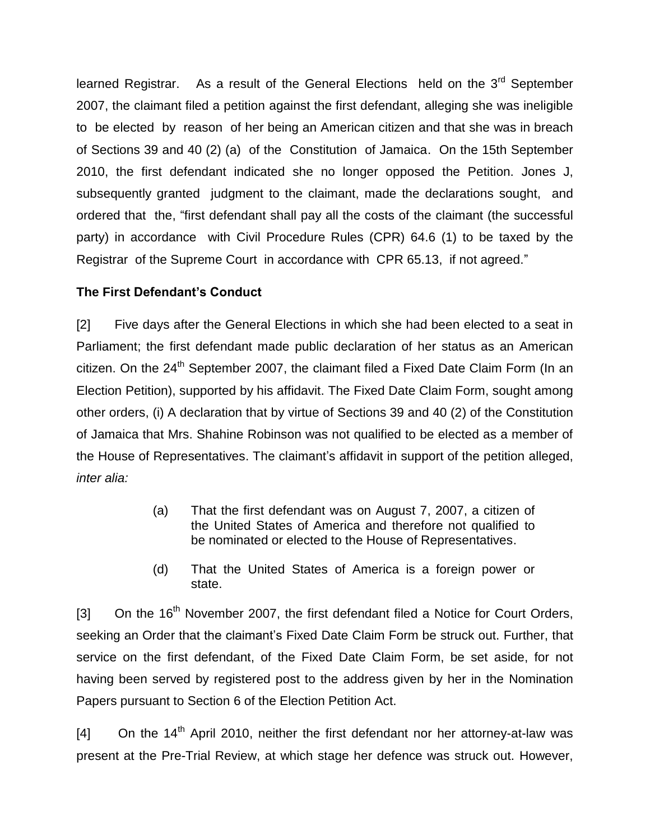learned Registrar. As a result of the General Elections held on the  $3<sup>rd</sup>$  September 2007, the claimant filed a petition against the first defendant, alleging she was ineligible to be elected by reason of her being an American citizen and that she was in breach of Sections 39 and 40 (2) (a) of the Constitution of Jamaica. On the 15th September 2010, the first defendant indicated she no longer opposed the Petition. Jones J, subsequently granted judgment to the claimant, made the declarations sought, and ordered that the, "first defendant shall pay all the costs of the claimant (the successful party) in accordance with Civil Procedure Rules (CPR) 64.6 (1) to be taxed by the Registrar of the Supreme Court in accordance with CPR 65.13, if not agreed."

### **The First Defendant's Conduct**

[2] Five days after the General Elections in which she had been elected to a seat in Parliament; the first defendant made public declaration of her status as an American citizen. On the  $24<sup>th</sup>$  September 2007, the claimant filed a Fixed Date Claim Form (In an Election Petition), supported by his affidavit. The Fixed Date Claim Form, sought among other orders, (i) A declaration that by virtue of Sections 39 and 40 (2) of the Constitution of Jamaica that Mrs. Shahine Robinson was not qualified to be elected as a member of the House of Representatives. The claimant's affidavit in support of the petition alleged, *inter alia:*

- (a) That the first defendant was on August 7, 2007, a citizen of the United States of America and therefore not qualified to be nominated or elected to the House of Representatives.
- (d) That the United States of America is a foreign power or state.

[3] On the  $16<sup>th</sup>$  November 2007, the first defendant filed a Notice for Court Orders, seeking an Order that the claimant's Fixed Date Claim Form be struck out. Further, that service on the first defendant, of the Fixed Date Claim Form, be set aside, for not having been served by registered post to the address given by her in the Nomination Papers pursuant to Section 6 of the Election Petition Act.

 $[4]$  On the 14<sup>th</sup> April 2010, neither the first defendant nor her attorney-at-law was present at the Pre-Trial Review, at which stage her defence was struck out. However,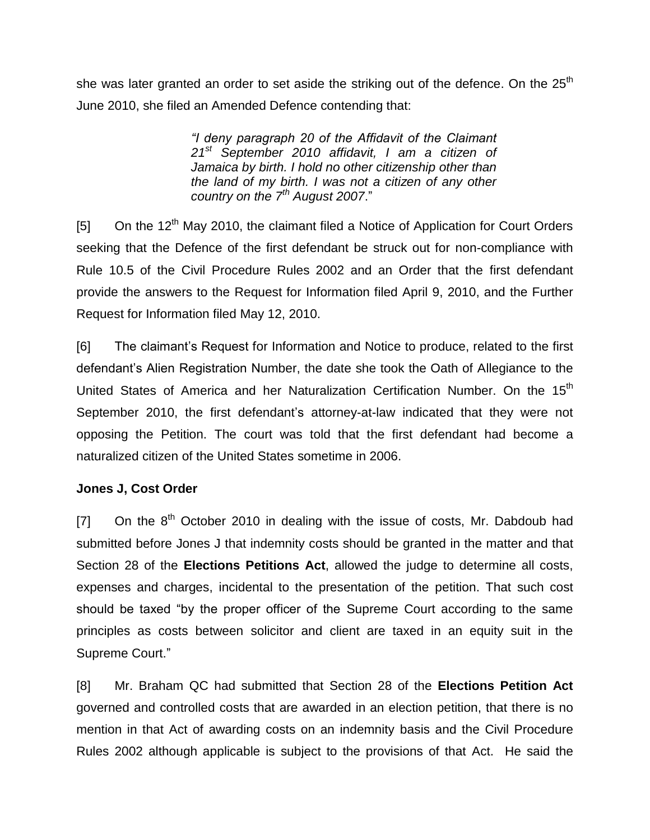she was later granted an order to set aside the striking out of the defence. On the  $25<sup>th</sup>$ June 2010, she filed an Amended Defence contending that:

> *"I deny paragraph 20 of the Affidavit of the Claimant 21st September 2010 affidavit, I am a citizen of Jamaica by birth. I hold no other citizenship other than the land of my birth. I was not a citizen of any other country on the 7th August 2007*."

 $[5]$  On the 12<sup>th</sup> May 2010, the claimant filed a Notice of Application for Court Orders seeking that the Defence of the first defendant be struck out for non-compliance with Rule 10.5 of the Civil Procedure Rules 2002 and an Order that the first defendant provide the answers to the Request for Information filed April 9, 2010, and the Further Request for Information filed May 12, 2010.

[6] The claimant's Request for Information and Notice to produce, related to the first defendant's Alien Registration Number, the date she took the Oath of Allegiance to the United States of America and her Naturalization Certification Number. On the 15<sup>th</sup> September 2010, the first defendant's attorney-at-law indicated that they were not opposing the Petition. The court was told that the first defendant had become a naturalized citizen of the United States sometime in 2006.

## **Jones J, Cost Order**

 $[7]$  On the  $8<sup>th</sup>$  October 2010 in dealing with the issue of costs, Mr. Dabdoub had submitted before Jones J that indemnity costs should be granted in the matter and that Section 28 of the **Elections Petitions Act**, allowed the judge to determine all costs, expenses and charges, incidental to the presentation of the petition. That such cost should be taxed "by the proper officer of the Supreme Court according to the same principles as costs between solicitor and client are taxed in an equity suit in the Supreme Court."

[8] Mr. Braham QC had submitted that Section 28 of the **Elections Petition Act** governed and controlled costs that are awarded in an election petition, that there is no mention in that Act of awarding costs on an indemnity basis and the Civil Procedure Rules 2002 although applicable is subject to the provisions of that Act. He said the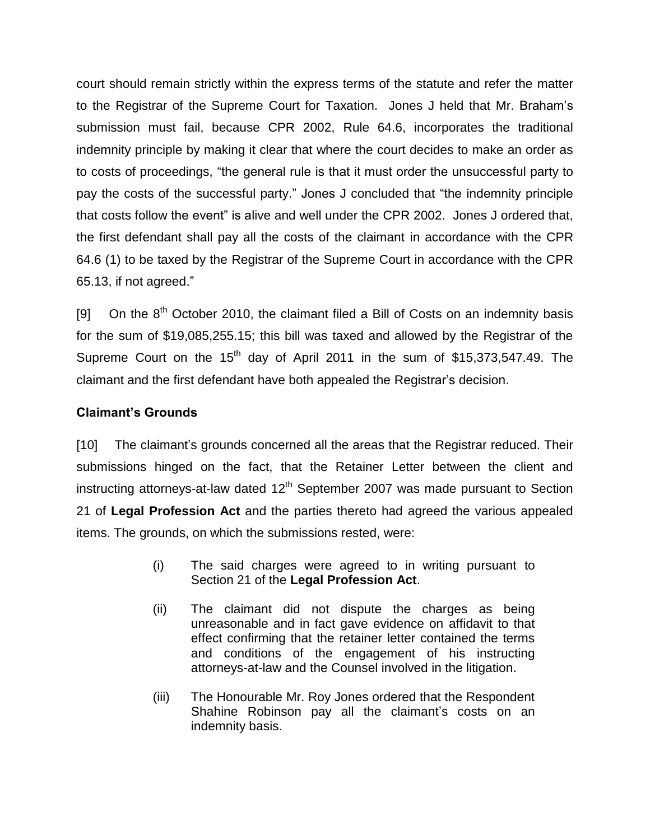court should remain strictly within the express terms of the statute and refer the matter to the Registrar of the Supreme Court for Taxation. Jones J held that Mr. Braham's submission must fail, because CPR 2002, Rule 64.6, incorporates the traditional indemnity principle by making it clear that where the court decides to make an order as to costs of proceedings, "the general rule is that it must order the unsuccessful party to pay the costs of the successful party." Jones J concluded that "the indemnity principle that costs follow the event" is alive and well under the CPR 2002. Jones J ordered that, the first defendant shall pay all the costs of the claimant in accordance with the CPR 64.6 (1) to be taxed by the Registrar of the Supreme Court in accordance with the CPR 65.13, if not agreed."

[9] On the  $8<sup>th</sup>$  October 2010, the claimant filed a Bill of Costs on an indemnity basis for the sum of \$19,085,255.15; this bill was taxed and allowed by the Registrar of the Supreme Court on the  $15<sup>th</sup>$  day of April 2011 in the sum of \$15,373,547.49. The claimant and the first defendant have both appealed the Registrar's decision.

### **Claimant's Grounds**

[10] The claimant's grounds concerned all the areas that the Registrar reduced. Their submissions hinged on the fact, that the Retainer Letter between the client and instructing attorneys-at-law dated  $12<sup>th</sup>$  September 2007 was made pursuant to Section 21 of **Legal Profession Act** and the parties thereto had agreed the various appealed items. The grounds, on which the submissions rested, were:

- (i) The said charges were agreed to in writing pursuant to Section 21 of the **Legal Profession Act**.
- (ii) The claimant did not dispute the charges as being unreasonable and in fact gave evidence on affidavit to that effect confirming that the retainer letter contained the terms and conditions of the engagement of his instructing attorneys-at-law and the Counsel involved in the litigation.
- (iii) The Honourable Mr. Roy Jones ordered that the Respondent Shahine Robinson pay all the claimant's costs on an indemnity basis.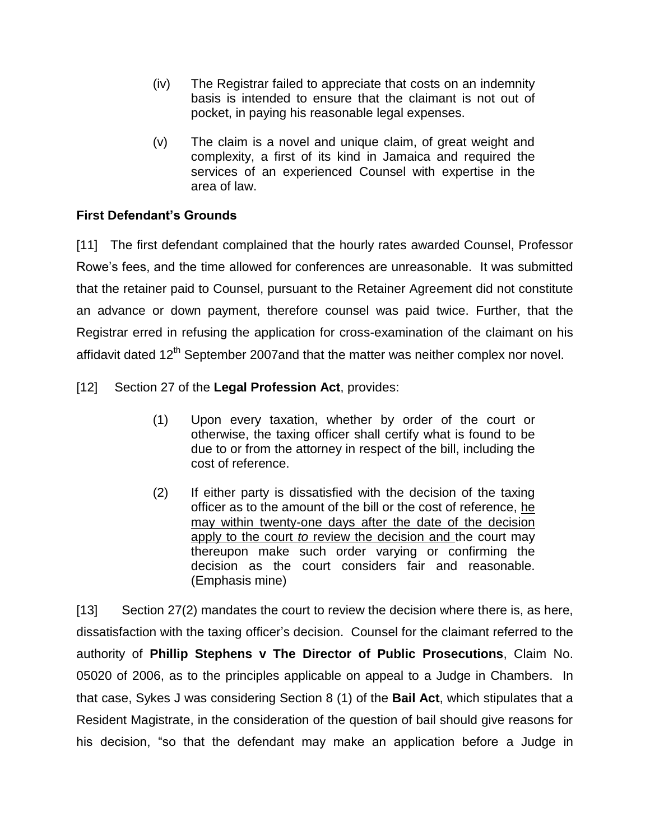- (iv) The Registrar failed to appreciate that costs on an indemnity basis is intended to ensure that the claimant is not out of pocket, in paying his reasonable legal expenses.
- (v) The claim is a novel and unique claim, of great weight and complexity, a first of its kind in Jamaica and required the services of an experienced Counsel with expertise in the area of law.

# **First Defendant's Grounds**

[11] The first defendant complained that the hourly rates awarded Counsel, Professor Rowe's fees, and the time allowed for conferences are unreasonable. It was submitted that the retainer paid to Counsel, pursuant to the Retainer Agreement did not constitute an advance or down payment, therefore counsel was paid twice. Further, that the Registrar erred in refusing the application for cross-examination of the claimant on his affidavit dated 12<sup>th</sup> September 2007and that the matter was neither complex nor novel.

## [12] Section 27 of the **Legal Profession Act**, provides:

- (1) Upon every taxation, whether by order of the court or otherwise, the taxing officer shall certify what is found to be due to or from the attorney in respect of the bill, including the cost of reference.
- (2) If either party is dissatisfied with the decision of the taxing officer as to the amount of the bill or the cost of reference, he may within twenty-one days after the date of the decision apply to the court *to* review the decision and the court may thereupon make such order varying or confirming the decision as the court considers fair and reasonable. (Emphasis mine)

[13] Section 27(2) mandates the court to review the decision where there is, as here, dissatisfaction with the taxing officer's decision. Counsel for the claimant referred to the authority of **Phillip Stephens v The Director of Public Prosecutions**, Claim No. 05020 of 2006, as to the principles applicable on appeal to a Judge in Chambers. In that case, Sykes J was considering Section 8 (1) of the **Bail Act**, which stipulates that a Resident Magistrate, in the consideration of the question of bail should give reasons for his decision, "so that the defendant may make an application before a Judge in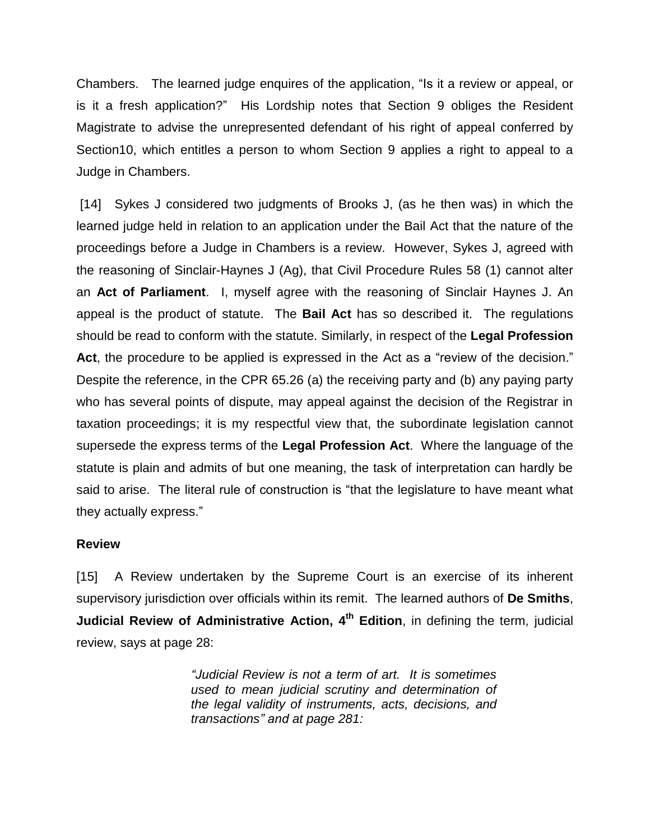Chambers. The learned judge enquires of the application, "Is it a review or appeal, or is it a fresh application?" His Lordship notes that Section 9 obliges the Resident Magistrate to advise the unrepresented defendant of his right of appeal conferred by Section10, which entitles a person to whom Section 9 applies a right to appeal to a Judge in Chambers.

[14] Sykes J considered two judgments of Brooks J, (as he then was) in which the learned judge held in relation to an application under the Bail Act that the nature of the proceedings before a Judge in Chambers is a review. However, Sykes J, agreed with the reasoning of Sinclair-Haynes J (Ag), that Civil Procedure Rules 58 (1) cannot alter an **Act of Parliament**. I, myself agree with the reasoning of Sinclair Haynes J. An appeal is the product of statute. The **Bail Act** has so described it. The regulations should be read to conform with the statute. Similarly, in respect of the **Legal Profession** Act, the procedure to be applied is expressed in the Act as a "review of the decision." Despite the reference, in the CPR 65.26 (a) the receiving party and (b) any paying party who has several points of dispute, may appeal against the decision of the Registrar in taxation proceedings; it is my respectful view that, the subordinate legislation cannot supersede the express terms of the **Legal Profession Act**. Where the language of the statute is plain and admits of but one meaning, the task of interpretation can hardly be said to arise. The literal rule of construction is "that the legislature to have meant what they actually express."

#### **Review**

[15] A Review undertaken by the Supreme Court is an exercise of its inherent supervisory jurisdiction over officials within its remit. The learned authors of **De Smiths**, **Judicial Review of Administrative Action, 4<sup>th</sup> Edition, in defining the term, judicial** review, says at page 28:

> *"Judicial Review is not a term of art. It is sometimes used to mean judicial scrutiny and determination of the legal validity of instruments, acts, decisions, and transactions" and at page 281:*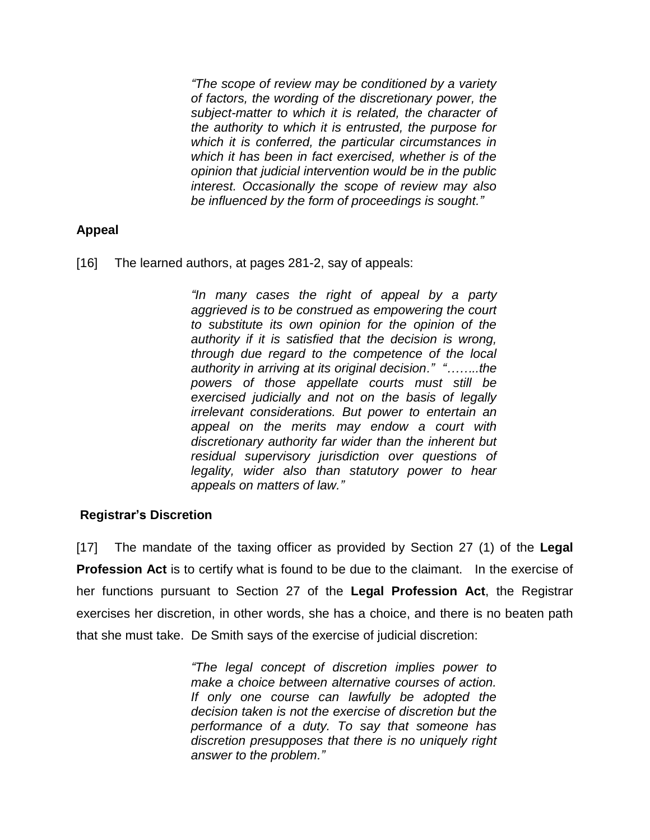*"The scope of review may be conditioned by a variety of factors, the wording of the discretionary power, the subject-matter to which it is related, the character of the authority to which it is entrusted, the purpose for which it is conferred, the particular circumstances in which it has been in fact exercised, whether is of the opinion that judicial intervention would be in the public interest. Occasionally the scope of review may also be influenced by the form of proceedings is sought."*

### **Appeal**

[16] The learned authors, at pages 281-2, say of appeals:

*"In many cases the right of appeal by a party aggrieved is to be construed as empowering the court to substitute its own opinion for the opinion of the authority if it is satisfied that the decision is wrong, through due regard to the competence of the local authority in arriving at its original decision." "……..the powers of those appellate courts must still be exercised judicially and not on the basis of legally irrelevant considerations. But power to entertain an appeal on the merits may endow a court with discretionary authority far wider than the inherent but residual supervisory jurisdiction over questions of legality, wider also than statutory power to hear appeals on matters of law."*

### **Registrar's Discretion**

[17] The mandate of the taxing officer as provided by Section 27 (1) of the **Legal Profession Act** is to certify what is found to be due to the claimant. In the exercise of her functions pursuant to Section 27 of the **Legal Profession Act**, the Registrar exercises her discretion, in other words, she has a choice, and there is no beaten path that she must take. De Smith says of the exercise of judicial discretion:

> *"The legal concept of discretion implies power to make a choice between alternative courses of action. If only one course can lawfully be adopted the decision taken is not the exercise of discretion but the performance of a duty. To say that someone has discretion presupposes that there is no uniquely right answer to the problem."*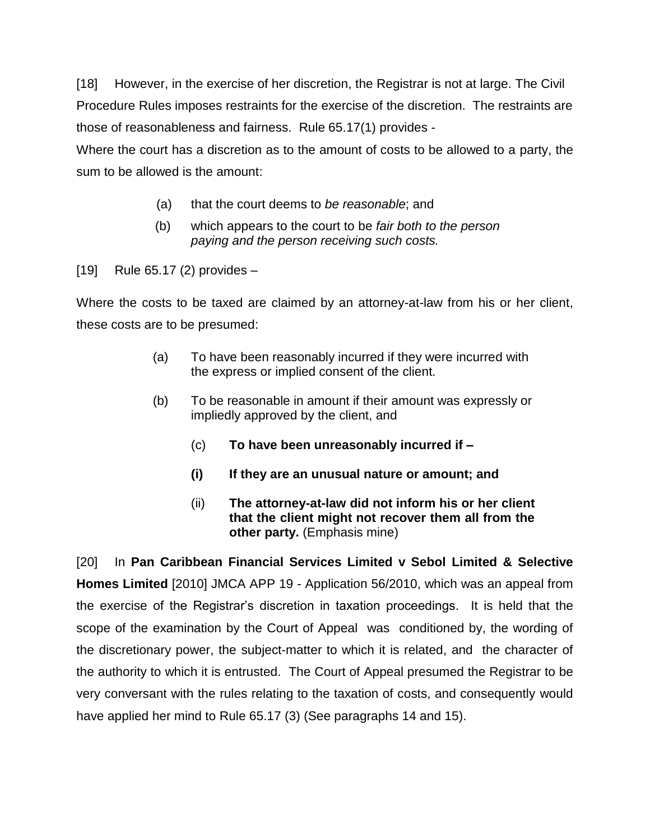[18] However, in the exercise of her discretion, the Registrar is not at large. The Civil Procedure Rules imposes restraints for the exercise of the discretion. The restraints are those of reasonableness and fairness. Rule 65.17(1) provides -

Where the court has a discretion as to the amount of costs to be allowed to a party, the sum to be allowed is the amount:

- (a) that the court deems to *be reasonable*; and
- (b) which appears to the court to be *fair both to the person paying and the person receiving such costs.*

[19] Rule 65.17 (2) provides –

Where the costs to be taxed are claimed by an attorney-at-law from his or her client, these costs are to be presumed:

- (a) To have been reasonably incurred if they were incurred with the express or implied consent of the client.
- (b) To be reasonable in amount if their amount was expressly or impliedly approved by the client, and
	- (c) **To have been unreasonably incurred if –**
	- **(i) If they are an unusual nature or amount; and**
	- (ii) **The attorney-at-law did not inform his or her client that the client might not recover them all from the other party.** (Emphasis mine)

[20] In **Pan Caribbean Financial Services Limited v Sebol Limited & Selective Homes Limited** [2010] JMCA APP 19 - Application 56/2010, which was an appeal from the exercise of the Registrar's discretion in taxation proceedings. It is held that the scope of the examination by the Court of Appeal was conditioned by, the wording of the discretionary power, the subject-matter to which it is related, and the character of the authority to which it is entrusted. The Court of Appeal presumed the Registrar to be very conversant with the rules relating to the taxation of costs, and consequently would have applied her mind to Rule 65.17 (3) (See paragraphs 14 and 15).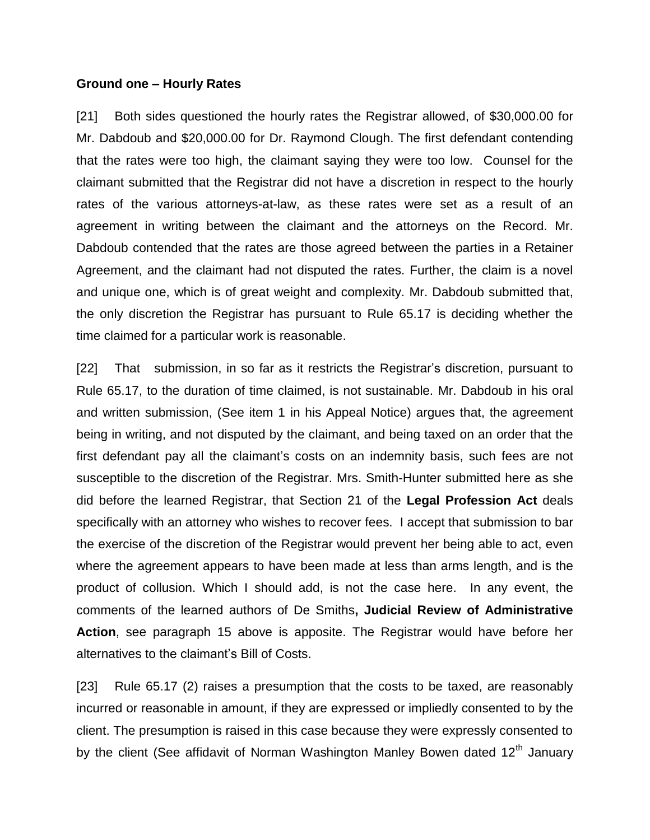#### **Ground one – Hourly Rates**

[21] Both sides questioned the hourly rates the Registrar allowed, of \$30,000.00 for Mr. Dabdoub and \$20,000.00 for Dr. Raymond Clough. The first defendant contending that the rates were too high, the claimant saying they were too low. Counsel for the claimant submitted that the Registrar did not have a discretion in respect to the hourly rates of the various attorneys-at-law, as these rates were set as a result of an agreement in writing between the claimant and the attorneys on the Record. Mr. Dabdoub contended that the rates are those agreed between the parties in a Retainer Agreement, and the claimant had not disputed the rates. Further, the claim is a novel and unique one, which is of great weight and complexity. Mr. Dabdoub submitted that, the only discretion the Registrar has pursuant to Rule 65.17 is deciding whether the time claimed for a particular work is reasonable.

[22] That submission, in so far as it restricts the Registrar's discretion, pursuant to Rule 65.17, to the duration of time claimed, is not sustainable. Mr. Dabdoub in his oral and written submission, (See item 1 in his Appeal Notice) argues that, the agreement being in writing, and not disputed by the claimant, and being taxed on an order that the first defendant pay all the claimant's costs on an indemnity basis, such fees are not susceptible to the discretion of the Registrar. Mrs. Smith-Hunter submitted here as she did before the learned Registrar, that Section 21 of the **Legal Profession Act** deals specifically with an attorney who wishes to recover fees. I accept that submission to bar the exercise of the discretion of the Registrar would prevent her being able to act, even where the agreement appears to have been made at less than arms length, and is the product of collusion. Which I should add, is not the case here. In any event, the comments of the learned authors of De Smiths**, Judicial Review of Administrative Action**, see paragraph 15 above is apposite. The Registrar would have before her alternatives to the claimant's Bill of Costs.

[23] Rule 65.17 (2) raises a presumption that the costs to be taxed, are reasonably incurred or reasonable in amount, if they are expressed or impliedly consented to by the client. The presumption is raised in this case because they were expressly consented to by the client (See affidavit of Norman Washington Manley Bowen dated 12<sup>th</sup> January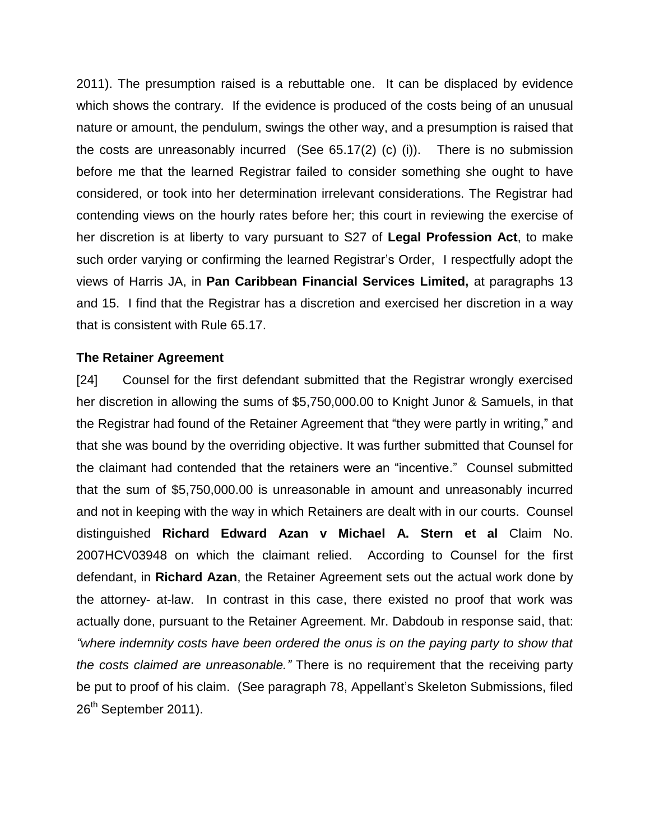2011). The presumption raised is a rebuttable one. It can be displaced by evidence which shows the contrary. If the evidence is produced of the costs being of an unusual nature or amount, the pendulum, swings the other way, and a presumption is raised that the costs are unreasonably incurred (See 65.17(2) (c) (i)). There is no submission before me that the learned Registrar failed to consider something she ought to have considered, or took into her determination irrelevant considerations. The Registrar had contending views on the hourly rates before her; this court in reviewing the exercise of her discretion is at liberty to vary pursuant to S27 of **Legal Profession Act**, to make such order varying or confirming the learned Registrar's Order, I respectfully adopt the views of Harris JA, in **Pan Caribbean Financial Services Limited,** at paragraphs 13 and 15. I find that the Registrar has a discretion and exercised her discretion in a way that is consistent with Rule 65.17.

#### **The Retainer Agreement**

[24] Counsel for the first defendant submitted that the Registrar wrongly exercised her discretion in allowing the sums of \$5,750,000.00 to Knight Junor & Samuels, in that the Registrar had found of the Retainer Agreement that "they were partly in writing," and that she was bound by the overriding objective. It was further submitted that Counsel for the claimant had contended that the retainers were an "incentive." Counsel submitted that the sum of \$5,750,000.00 is unreasonable in amount and unreasonably incurred and not in keeping with the way in which Retainers are dealt with in our courts. Counsel distinguished **Richard Edward Azan v Michael A. Stern et al** Claim No. 2007HCV03948 on which the claimant relied. According to Counsel for the first defendant, in **Richard Azan**, the Retainer Agreement sets out the actual work done by the attorney- at-law. In contrast in this case, there existed no proof that work was actually done, pursuant to the Retainer Agreement. Mr. Dabdoub in response said, that: *"where indemnity costs have been ordered the onus is on the paying party to show that the costs claimed are unreasonable."* There is no requirement that the receiving party be put to proof of his claim. (See paragraph 78, Appellant's Skeleton Submissions, filed 26<sup>th</sup> September 2011).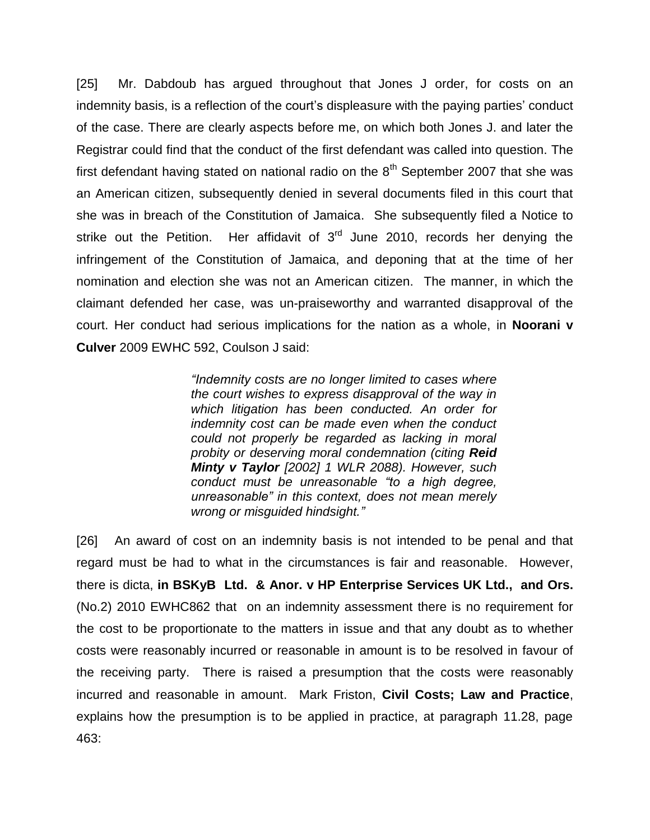[25] Mr. Dabdoub has argued throughout that Jones J order, for costs on an indemnity basis, is a reflection of the court's displeasure with the paying parties' conduct of the case. There are clearly aspects before me, on which both Jones J. and later the Registrar could find that the conduct of the first defendant was called into question. The first defendant having stated on national radio on the  $8<sup>th</sup>$  September 2007 that she was an American citizen, subsequently denied in several documents filed in this court that she was in breach of the Constitution of Jamaica. She subsequently filed a Notice to strike out the Petition. Her affidavit of  $3<sup>rd</sup>$  June 2010, records her denying the infringement of the Constitution of Jamaica, and deponing that at the time of her nomination and election she was not an American citizen. The manner, in which the claimant defended her case, was un-praiseworthy and warranted disapproval of the court. Her conduct had serious implications for the nation as a whole, in **Noorani v Culver** 2009 EWHC 592, Coulson J said:

> *"Indemnity costs are no longer limited to cases where the court wishes to express disapproval of the way in which litigation has been conducted. An order for indemnity cost can be made even when the conduct could not properly be regarded as lacking in moral probity or deserving moral condemnation (citing Reid Minty v Taylor [2002] 1 WLR 2088). However, such conduct must be unreasonable "to a high degree, unreasonable" in this context, does not mean merely wrong or misguided hindsight."*

[26] An award of cost on an indemnity basis is not intended to be penal and that regard must be had to what in the circumstances is fair and reasonable. However, there is dicta, **in BSKyB Ltd. & Anor. v HP Enterprise Services UK Ltd., and Ors.**  (No.2) 2010 EWHC862 that on an indemnity assessment there is no requirement for the cost to be proportionate to the matters in issue and that any doubt as to whether costs were reasonably incurred or reasonable in amount is to be resolved in favour of the receiving party. There is raised a presumption that the costs were reasonably incurred and reasonable in amount. Mark Friston, **Civil Costs; Law and Practice**, explains how the presumption is to be applied in practice, at paragraph 11.28, page 463: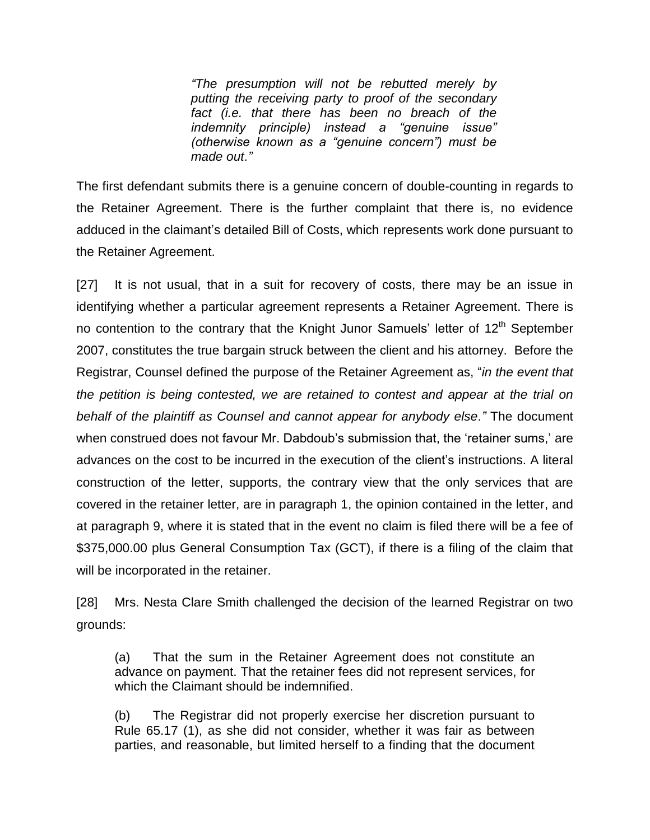*"The presumption will not be rebutted merely by putting the receiving party to proof of the secondary fact (i.e. that there has been no breach of the indemnity principle) instead a "genuine issue" (otherwise known as a "genuine concern") must be made out."*

The first defendant submits there is a genuine concern of double-counting in regards to the Retainer Agreement. There is the further complaint that there is, no evidence adduced in the claimant's detailed Bill of Costs, which represents work done pursuant to the Retainer Agreement.

[27] It is not usual, that in a suit for recovery of costs, there may be an issue in identifying whether a particular agreement represents a Retainer Agreement. There is no contention to the contrary that the Knight Junor Samuels' letter of 12<sup>th</sup> September 2007, constitutes the true bargain struck between the client and his attorney. Before the Registrar, Counsel defined the purpose of the Retainer Agreement as, "*in the event that the petition is being contested, we are retained to contest and appear at the trial on behalf of the plaintiff as Counsel and cannot appear for anybody else."* The document when construed does not favour Mr. Dabdoub's submission that, the 'retainer sums,' are advances on the cost to be incurred in the execution of the client's instructions. A literal construction of the letter, supports, the contrary view that the only services that are covered in the retainer letter, are in paragraph 1, the opinion contained in the letter, and at paragraph 9, where it is stated that in the event no claim is filed there will be a fee of \$375,000.00 plus General Consumption Tax (GCT), if there is a filing of the claim that will be incorporated in the retainer.

[28] Mrs. Nesta Clare Smith challenged the decision of the learned Registrar on two grounds:

(a) That the sum in the Retainer Agreement does not constitute an advance on payment. That the retainer fees did not represent services, for which the Claimant should be indemnified.

(b) The Registrar did not properly exercise her discretion pursuant to Rule 65.17 (1), as she did not consider, whether it was fair as between parties, and reasonable, but limited herself to a finding that the document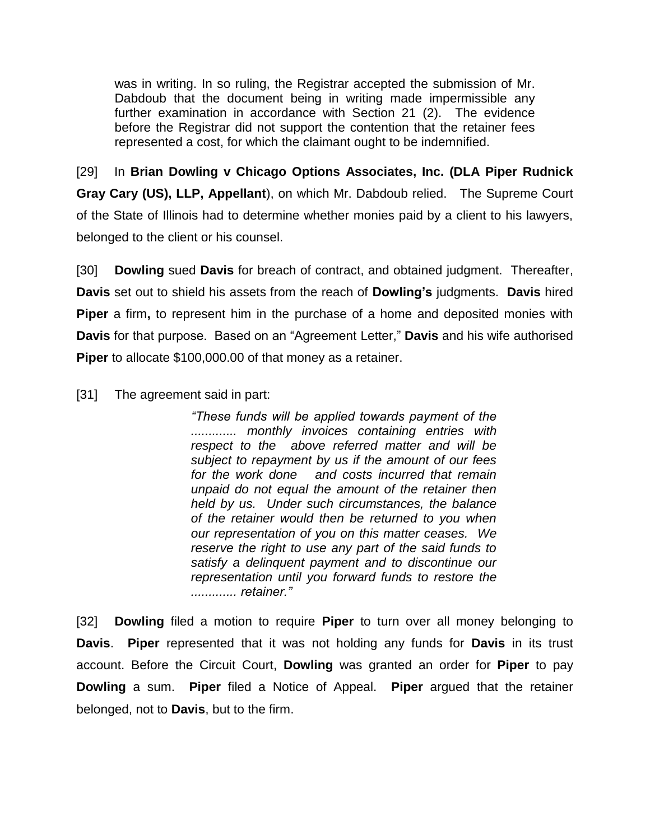was in writing. In so ruling, the Registrar accepted the submission of Mr. Dabdoub that the document being in writing made impermissible any further examination in accordance with Section 21 (2). The evidence before the Registrar did not support the contention that the retainer fees represented a cost, for which the claimant ought to be indemnified.

[29] In **Brian Dowling v Chicago Options Associates, Inc. (DLA Piper Rudnick Gray Cary (US), LLP, Appellant**), on which Mr. Dabdoub relied. The Supreme Court of the State of Illinois had to determine whether monies paid by a client to his lawyers, belonged to the client or his counsel.

[30] **Dowling** sued **Davis** for breach of contract, and obtained judgment. Thereafter, **Davis** set out to shield his assets from the reach of **Dowling's** judgments. **Davis** hired **Piper** a firm**,** to represent him in the purchase of a home and deposited monies with **Davis** for that purpose. Based on an "Agreement Letter," **Davis** and his wife authorised **Piper** to allocate \$100,000.00 of that money as a retainer.

[31] The agreement said in part:

*"These funds will be applied towards payment of the ............. monthly invoices containing entries with respect to the above referred matter and will be subject to repayment by us if the amount of our fees for the work done and costs incurred that remain unpaid do not equal the amount of the retainer then held by us. Under such circumstances, the balance of the retainer would then be returned to you when our representation of you on this matter ceases. We reserve the right to use any part of the said funds to satisfy a delinquent payment and to discontinue our representation until you forward funds to restore the ............. retainer."* 

[32] **Dowling** filed a motion to require **Piper** to turn over all money belonging to **Davis**. **Piper** represented that it was not holding any funds for **Davis** in its trust account. Before the Circuit Court, **Dowling** was granted an order for **Piper** to pay **Dowling** a sum. **Piper** filed a Notice of Appeal. **Piper** argued that the retainer belonged, not to **Davis**, but to the firm.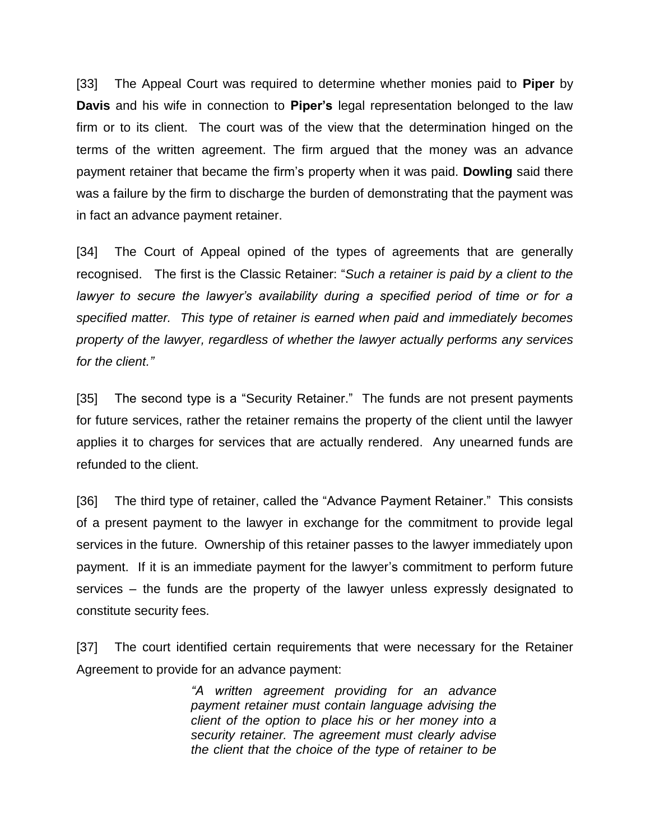[33] The Appeal Court was required to determine whether monies paid to **Piper** by **Davis** and his wife in connection to **Piper's** legal representation belonged to the law firm or to its client. The court was of the view that the determination hinged on the terms of the written agreement. The firm argued that the money was an advance payment retainer that became the firm's property when it was paid. **Dowling** said there was a failure by the firm to discharge the burden of demonstrating that the payment was in fact an advance payment retainer.

[34] The Court of Appeal opined of the types of agreements that are generally recognised. The first is the Classic Retainer: "*Such a retainer is paid by a client to the lawyer to secure the lawyer's availability during a specified period of time or for a specified matter. This type of retainer is earned when paid and immediately becomes property of the lawyer, regardless of whether the lawyer actually performs any services for the client."*

[35] The second type is a "Security Retainer." The funds are not present payments for future services, rather the retainer remains the property of the client until the lawyer applies it to charges for services that are actually rendered. Any unearned funds are refunded to the client.

[36] The third type of retainer, called the "Advance Payment Retainer." This consists of a present payment to the lawyer in exchange for the commitment to provide legal services in the future. Ownership of this retainer passes to the lawyer immediately upon payment. If it is an immediate payment for the lawyer's commitment to perform future services – the funds are the property of the lawyer unless expressly designated to constitute security fees.

[37] The court identified certain requirements that were necessary for the Retainer Agreement to provide for an advance payment:

> *"A written agreement providing for an advance payment retainer must contain language advising the client of the option to place his or her money into a security retainer. The agreement must clearly advise the client that the choice of the type of retainer to be*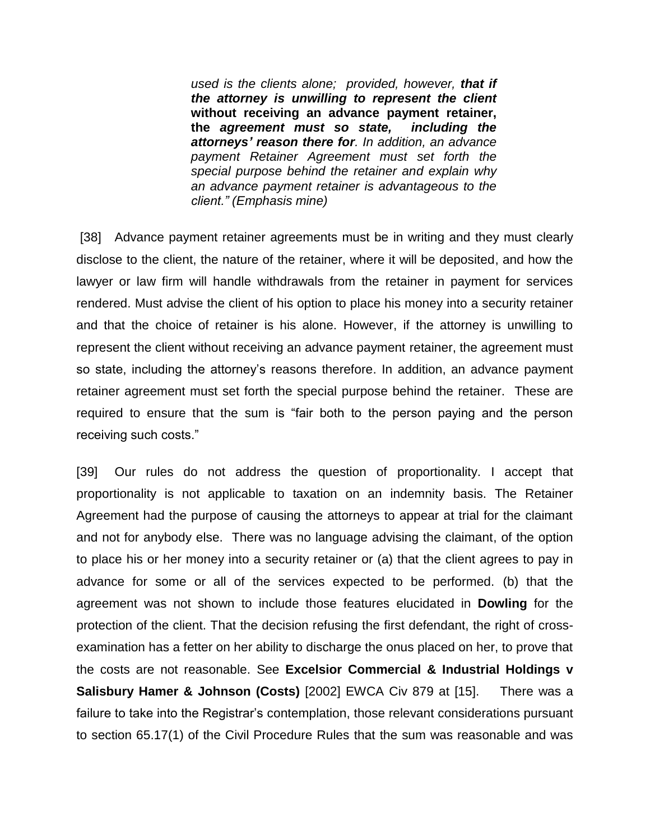*used is the clients alone; provided, however, that if the attorney is unwilling to represent the client*  **without receiving an advance payment retainer, the** *agreement must so state, including the attorneys' reason there for. In addition, an advance payment Retainer Agreement must set forth the special purpose behind the retainer and explain why an advance payment retainer is advantageous to the client." (Emphasis mine)*

[38] Advance payment retainer agreements must be in writing and they must clearly disclose to the client, the nature of the retainer, where it will be deposited, and how the lawyer or law firm will handle withdrawals from the retainer in payment for services rendered. Must advise the client of his option to place his money into a security retainer and that the choice of retainer is his alone. However, if the attorney is unwilling to represent the client without receiving an advance payment retainer, the agreement must so state, including the attorney's reasons therefore. In addition, an advance payment retainer agreement must set forth the special purpose behind the retainer. These are required to ensure that the sum is "fair both to the person paying and the person receiving such costs."

[39] Our rules do not address the question of proportionality. I accept that proportionality is not applicable to taxation on an indemnity basis. The Retainer Agreement had the purpose of causing the attorneys to appear at trial for the claimant and not for anybody else. There was no language advising the claimant, of the option to place his or her money into a security retainer or (a) that the client agrees to pay in advance for some or all of the services expected to be performed. (b) that the agreement was not shown to include those features elucidated in **Dowling** for the protection of the client. That the decision refusing the first defendant, the right of crossexamination has a fetter on her ability to discharge the onus placed on her, to prove that the costs are not reasonable. See **Excelsior Commercial & Industrial Holdings v Salisbury Hamer & Johnson (Costs)** [2002] EWCA Civ 879 at [15]. There was a failure to take into the Registrar's contemplation, those relevant considerations pursuant to section 65.17(1) of the Civil Procedure Rules that the sum was reasonable and was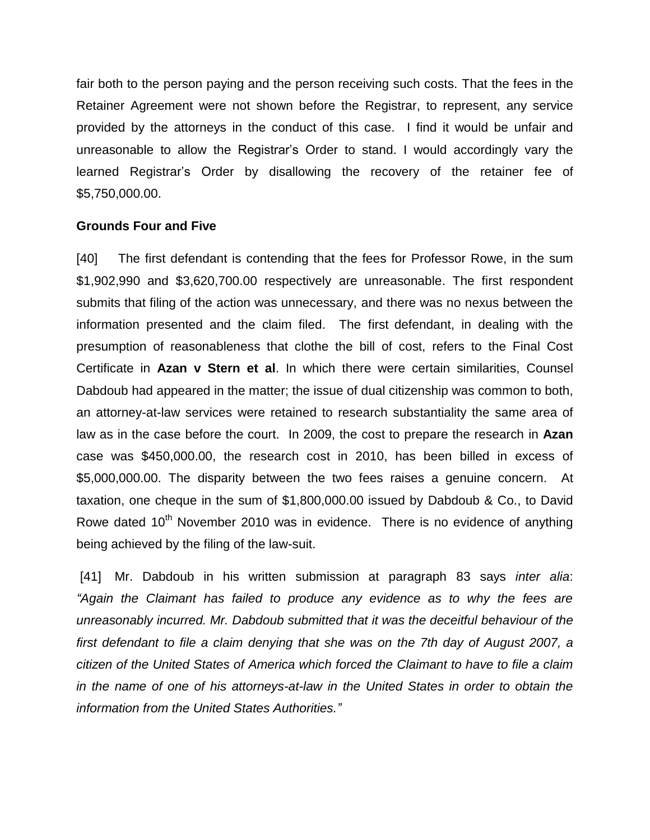fair both to the person paying and the person receiving such costs. That the fees in the Retainer Agreement were not shown before the Registrar, to represent, any service provided by the attorneys in the conduct of this case. I find it would be unfair and unreasonable to allow the Registrar's Order to stand. I would accordingly vary the learned Registrar's Order by disallowing the recovery of the retainer fee of \$5,750,000.00.

#### **Grounds Four and Five**

[40] The first defendant is contending that the fees for Professor Rowe, in the sum \$1,902,990 and \$3,620,700.00 respectively are unreasonable. The first respondent submits that filing of the action was unnecessary, and there was no nexus between the information presented and the claim filed. The first defendant, in dealing with the presumption of reasonableness that clothe the bill of cost, refers to the Final Cost Certificate in **Azan v Stern et al**. In which there were certain similarities, Counsel Dabdoub had appeared in the matter; the issue of dual citizenship was common to both, an attorney-at-law services were retained to research substantiality the same area of law as in the case before the court. In 2009, the cost to prepare the research in **Azan** case was \$450,000.00, the research cost in 2010, has been billed in excess of \$5,000,000.00. The disparity between the two fees raises a genuine concern. At taxation, one cheque in the sum of \$1,800,000.00 issued by Dabdoub & Co., to David Rowe dated  $10<sup>th</sup>$  November 2010 was in evidence. There is no evidence of anything being achieved by the filing of the law-suit.

[41] Mr. Dabdoub in his written submission at paragraph 83 says *inter alia*: *"Again the Claimant has failed to produce any evidence as to why the fees are unreasonably incurred. Mr. Dabdoub submitted that it was the deceitful behaviour of the first defendant to file a claim denying that she was on the 7th day of August 2007, a citizen of the United States of America which forced the Claimant to have to file a claim in the name of one of his attorneys-at-law in the United States in order to obtain the information from the United States Authorities."*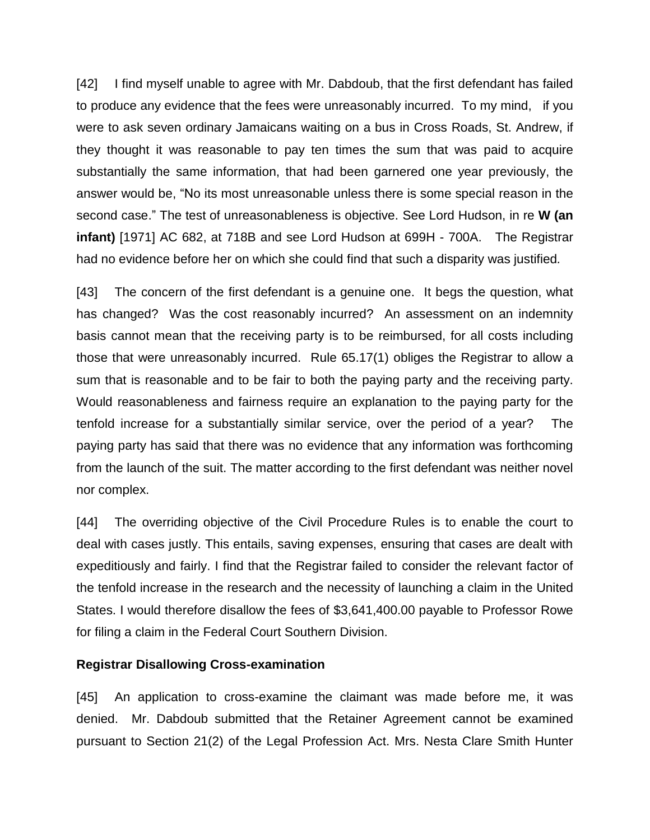[42] I find myself unable to agree with Mr. Dabdoub, that the first defendant has failed to produce any evidence that the fees were unreasonably incurred. To my mind, if you were to ask seven ordinary Jamaicans waiting on a bus in Cross Roads, St. Andrew, if they thought it was reasonable to pay ten times the sum that was paid to acquire substantially the same information, that had been garnered one year previously, the answer would be, "No its most unreasonable unless there is some special reason in the second case." The test of unreasonableness is objective. See Lord Hudson, in re **W (an infant)** [1971] AC 682, at 718B and see Lord Hudson at 699H - 700A.The Registrar had no evidence before her on which she could find that such a disparity was justified*.*

[43] The concern of the first defendant is a genuine one. It begs the question, what has changed? Was the cost reasonably incurred? An assessment on an indemnity basis cannot mean that the receiving party is to be reimbursed, for all costs including those that were unreasonably incurred. Rule 65.17(1) obliges the Registrar to allow a sum that is reasonable and to be fair to both the paying party and the receiving party. Would reasonableness and fairness require an explanation to the paying party for the tenfold increase for a substantially similar service, over the period of a year? The paying party has said that there was no evidence that any information was forthcoming from the launch of the suit. The matter according to the first defendant was neither novel nor complex.

[44] The overriding objective of the Civil Procedure Rules is to enable the court to deal with cases justly. This entails, saving expenses, ensuring that cases are dealt with expeditiously and fairly. I find that the Registrar failed to consider the relevant factor of the tenfold increase in the research and the necessity of launching a claim in the United States. I would therefore disallow the fees of \$3,641,400.00 payable to Professor Rowe for filing a claim in the Federal Court Southern Division.

### **Registrar Disallowing Cross-examination**

[45] An application to cross-examine the claimant was made before me, it was denied. Mr. Dabdoub submitted that the Retainer Agreement cannot be examined pursuant to Section 21(2) of the Legal Profession Act. Mrs. Nesta Clare Smith Hunter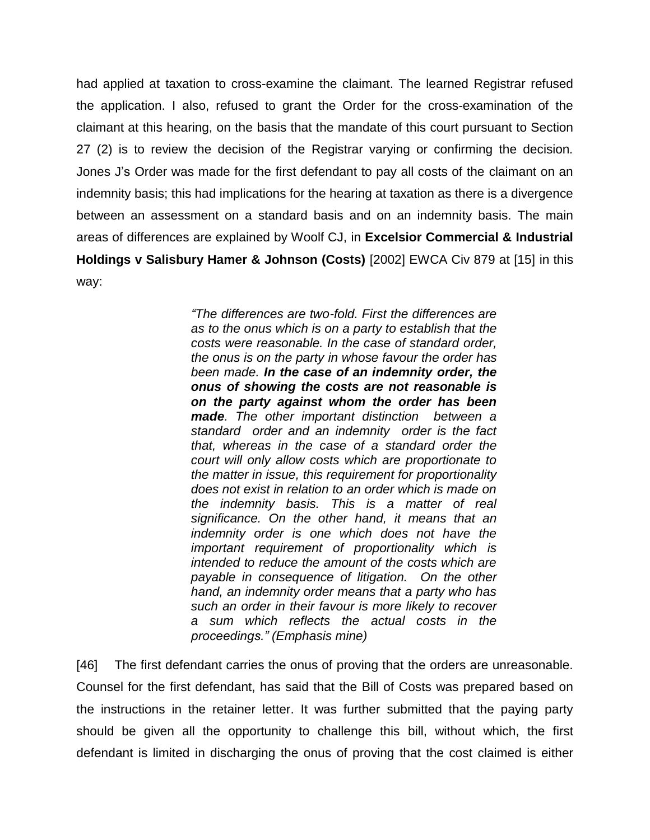had applied at taxation to cross-examine the claimant. The learned Registrar refused the application. I also, refused to grant the Order for the cross-examination of the claimant at this hearing, on the basis that the mandate of this court pursuant to Section 27 (2) is to review the decision of the Registrar varying or confirming the decision*.* Jones J's Order was made for the first defendant to pay all costs of the claimant on an indemnity basis; this had implications for the hearing at taxation as there is a divergence between an assessment on a standard basis and on an indemnity basis. The main areas of differences are explained by Woolf CJ, in **Excelsior Commercial & Industrial Holdings v Salisbury Hamer & Johnson (Costs)** [2002] EWCA Civ 879 at [15] in this way:

> *"The differences are two-fold. First the differences are as to the onus which is on a party to establish that the costs were reasonable. In the case of standard order, the onus is on the party in whose favour the order has been made. In the case of an indemnity order, the onus of showing the costs are not reasonable is on the party against whom the order has been made. The other important distinction between a standard order and an indemnity order is the fact that, whereas in the case of a standard order the court will only allow costs which are proportionate to the matter in issue, this requirement for proportionality does not exist in relation to an order which is made on the indemnity basis. This is a matter of real significance. On the other hand, it means that an indemnity order is one which does not have the important requirement of proportionality which is intended to reduce the amount of the costs which are payable in consequence of litigation. On the other hand, an indemnity order means that a party who has such an order in their favour is more likely to recover a sum which reflects the actual costs in the proceedings." (Emphasis mine)*

[46] The first defendant carries the onus of proving that the orders are unreasonable. Counsel for the first defendant, has said that the Bill of Costs was prepared based on the instructions in the retainer letter. It was further submitted that the paying party should be given all the opportunity to challenge this bill, without which, the first defendant is limited in discharging the onus of proving that the cost claimed is either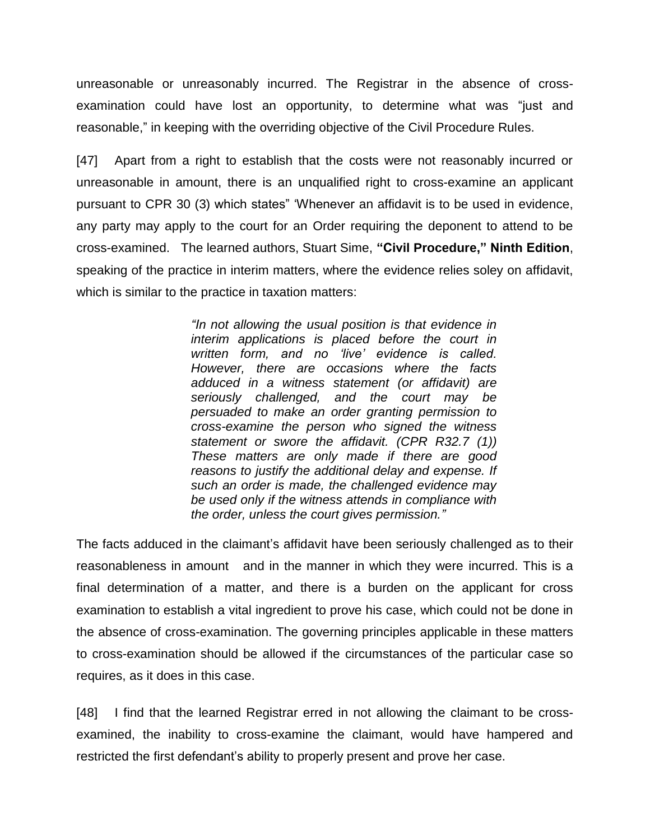unreasonable or unreasonably incurred. The Registrar in the absence of crossexamination could have lost an opportunity, to determine what was "just and reasonable," in keeping with the overriding objective of the Civil Procedure Rules.

[47] Apart from a right to establish that the costs were not reasonably incurred or unreasonable in amount, there is an unqualified right to cross-examine an applicant pursuant to CPR 30 (3) which states" 'Whenever an affidavit is to be used in evidence, any party may apply to the court for an Order requiring the deponent to attend to be cross-examined. The learned authors, Stuart Sime, **"Civil Procedure," Ninth Edition**, speaking of the practice in interim matters, where the evidence relies soley on affidavit, which is similar to the practice in taxation matters:

> *"In not allowing the usual position is that evidence in interim applications is placed before the court in written form, and no 'live' evidence is called. However, there are occasions where the facts adduced in a witness statement (or affidavit) are seriously challenged, and the court may be persuaded to make an order granting permission to cross-examine the person who signed the witness statement or swore the affidavit. (CPR R32.7 (1)) These matters are only made if there are good reasons to justify the additional delay and expense. If such an order is made, the challenged evidence may be used only if the witness attends in compliance with the order, unless the court gives permission."*

The facts adduced in the claimant's affidavit have been seriously challenged as to their reasonableness in amount and in the manner in which they were incurred. This is a final determination of a matter, and there is a burden on the applicant for cross examination to establish a vital ingredient to prove his case, which could not be done in the absence of cross-examination. The governing principles applicable in these matters to cross-examination should be allowed if the circumstances of the particular case so requires, as it does in this case.

[48] I find that the learned Registrar erred in not allowing the claimant to be crossexamined, the inability to cross-examine the claimant, would have hampered and restricted the first defendant's ability to properly present and prove her case.